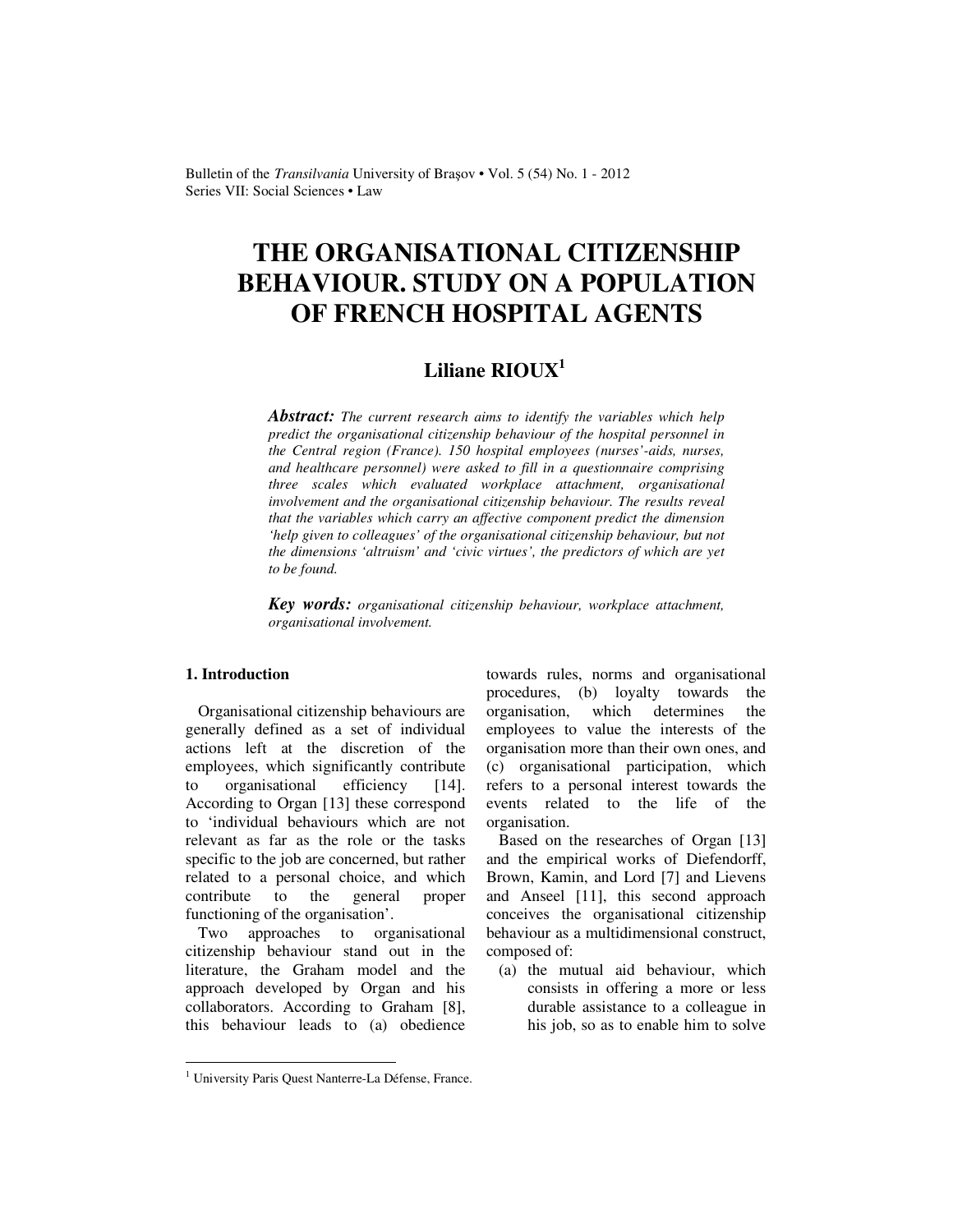Bulletin of the *Transilvania* University of Braşov • Vol. 5 (54) No. 1 - 2012 Series VII: Social Sciences • Law

# **THE ORGANISATIONAL CITIZENSHIP BEHAVIOUR. STUDY ON A POPULATION OF FRENCH HOSPITAL AGENTS**

# **Liliane RIOUX<sup>1</sup>**

*Abstract: The current research aims to identify the variables which help predict the organisational citizenship behaviour of the hospital personnel in the Central region (France). 150 hospital employees (nurses'-aids, nurses, and healthcare personnel) were asked to fill in a questionnaire comprising three scales which evaluated workplace attachment, organisational involvement and the organisational citizenship behaviour. The results reveal that the variables which carry an affective component predict the dimension*  'help given to colleagues' of the organisational citizenship behaviour, but not *the dimensions 'altruism' and 'civic virtues', the predictors of which are yet to be found.* 

*Key words: organisational citizenship behaviour, workplace attachment, organisational involvement.*

## **1. Introduction**

Organisational citizenship behaviours are generally defined as a set of individual actions left at the discretion of the employees, which significantly contribute to organisational efficiency [14]. According to Organ [13] these correspond to 'individual behaviours which are not relevant as far as the role or the tasks specific to the job are concerned, but rather related to a personal choice, and which contribute to the general proper functioning of the organisation'.

Two approaches to organisational citizenship behaviour stand out in the literature, the Graham model and the approach developed by Organ and his collaborators. According to Graham [8], this behaviour leads to (a) obedience towards rules, norms and organisational procedures, (b) loyalty towards the organisation, which determines the employees to value the interests of the organisation more than their own ones, and (c) organisational participation, which refers to a personal interest towards the events related to the life of the organisation.

Based on the researches of Organ [13] and the empirical works of Diefendorff, Brown, Kamin, and Lord [7] and Lievens and Anseel [11], this second approach conceives the organisational citizenship behaviour as a multidimensional construct, composed of:

(a) the mutual aid behaviour, which consists in offering a more or less durable assistance to a colleague in his job, so as to enable him to solve

 1 University Paris Quest Nanterre-La Défense, France.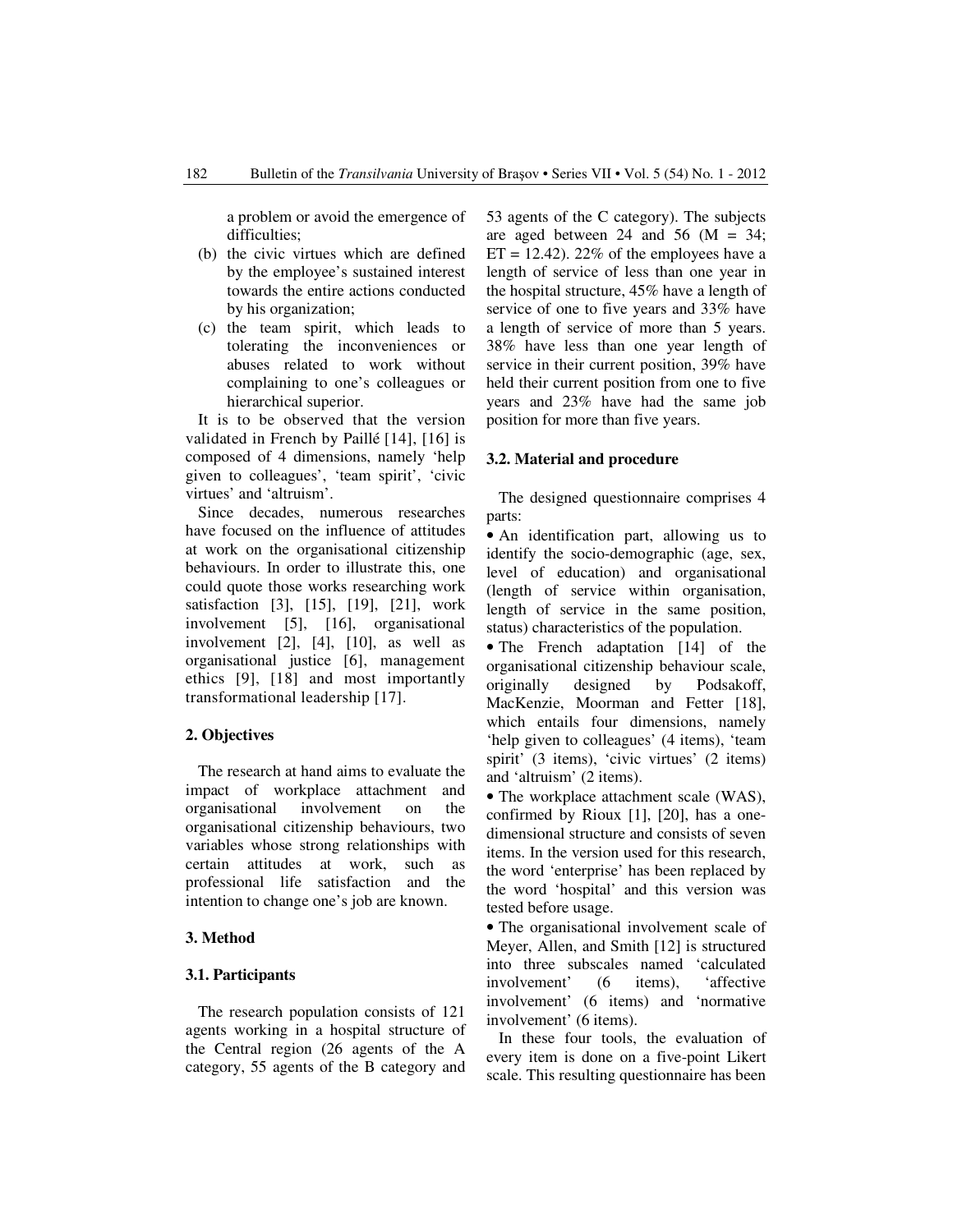a problem or avoid the emergence of difficulties;

- (b) the civic virtues which are defined by the employee's sustained interest towards the entire actions conducted by his organization;
- (c) the team spirit, which leads to tolerating the inconveniences or abuses related to work without complaining to one's colleagues or hierarchical superior.

It is to be observed that the version validated in French by Paillé [14], [16] is composed of 4 dimensions, namely 'help given to colleagues', 'team spirit', 'civic virtues' and 'altruism'.

Since decades, numerous researches have focused on the influence of attitudes at work on the organisational citizenship behaviours. In order to illustrate this, one could quote those works researching work satisfaction [3], [15], [19], [21], work involvement [5], [16], organisational involvement [2], [4], [10], as well as organisational justice [6], management ethics [9], [18] and most importantly transformational leadership [17].

#### **2. Objectives**

The research at hand aims to evaluate the impact of workplace attachment and organisational involvement on the organisational citizenship behaviours, two variables whose strong relationships with certain attitudes at work, such as professional life satisfaction and the intention to change one's job are known.

#### **3. Method**

# **3.1. Participants**

The research population consists of 121 agents working in a hospital structure of the Central region (26 agents of the A category, 55 agents of the B category and 53 agents of the C category). The subjects are aged between 24 and 56 ( $M = 34$ ;  $ET = 12.42$ ). 22% of the employees have a length of service of less than one year in the hospital structure, 45% have a length of service of one to five years and 33% have a length of service of more than 5 years. 38% have less than one year length of service in their current position, 39% have held their current position from one to five years and 23% have had the same job position for more than five years.

#### **3.2. Material and procedure**

 The designed questionnaire comprises 4 parts:

• An identification part, allowing us to identify the socio-demographic (age, sex, level of education) and organisational (length of service within organisation, length of service in the same position, status) characteristics of the population.

• The French adaptation [14] of the organisational citizenship behaviour scale, originally designed by Podsakoff, MacKenzie, Moorman and Fetter [18], which entails four dimensions, namely 'help given to colleagues' (4 items), 'team spirit' (3 items), 'civic virtues' (2 items) and 'altruism' (2 items).

• The workplace attachment scale (WAS), confirmed by Rioux [1], [20], has a onedimensional structure and consists of seven items. In the version used for this research, the word 'enterprise' has been replaced by the word 'hospital' and this version was tested before usage.

• The organisational involvement scale of Meyer, Allen, and Smith [12] is structured into three subscales named 'calculated involvement' (6 items), 'affective involvement' (6 items) and 'normative involvement' (6 items).

In these four tools, the evaluation of every item is done on a five-point Likert scale. This resulting questionnaire has been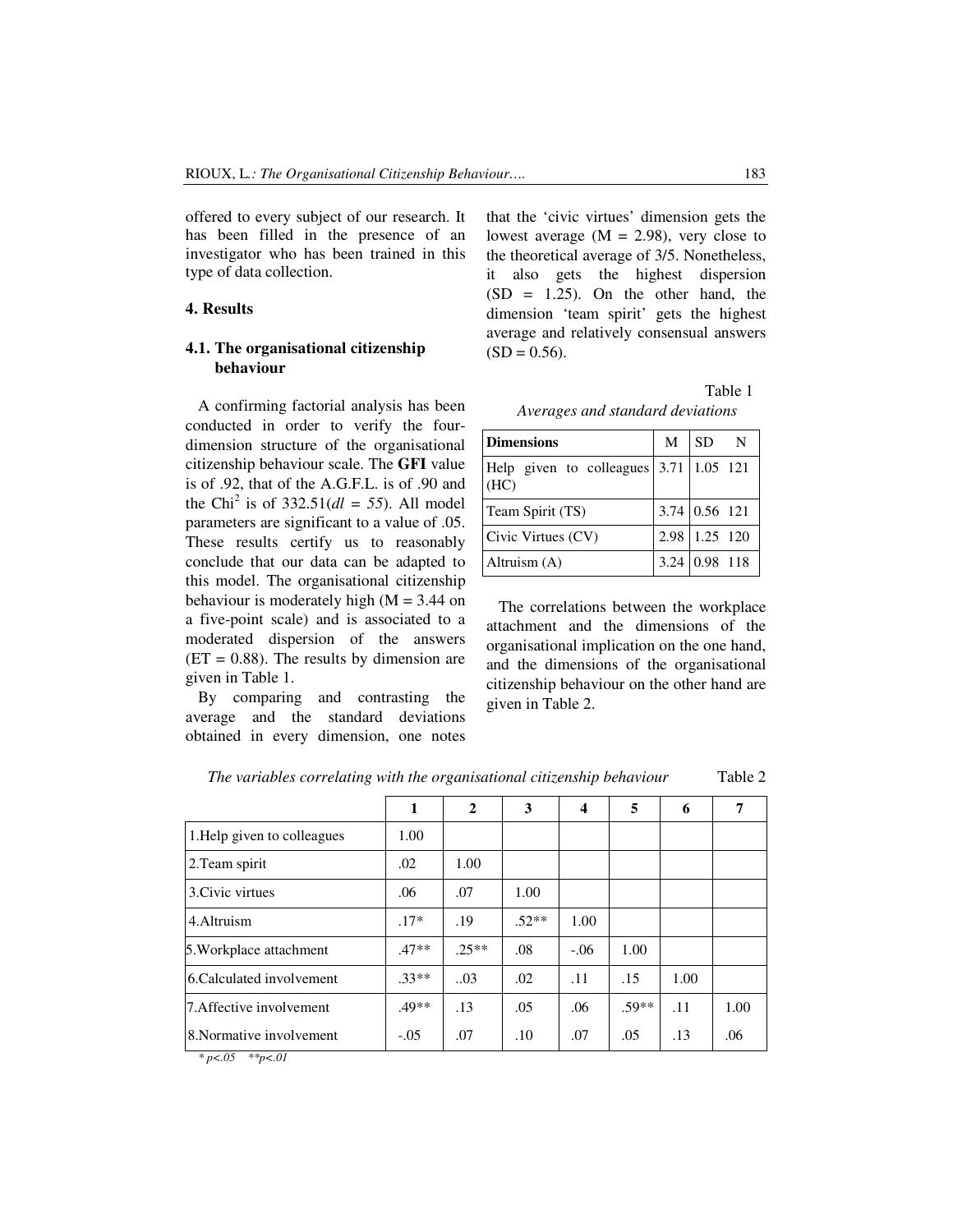offered to every subject of our research. It has been filled in the presence of an investigator who has been trained in this type of data collection.

# **4. Results**

# **4.1. The organisational citizenship behaviour**

A confirming factorial analysis has been conducted in order to verify the fourdimension structure of the organisational citizenship behaviour scale. The **GFI** value is of .92, that of the A.G.F.L. is of .90 and the Chi<sup>2</sup> is of 332.51( $dl = 55$ ). All model parameters are significant to a value of .05. These results certify us to reasonably conclude that our data can be adapted to this model. The organisational citizenship behaviour is moderately high  $(M = 3.44$  on a five-point scale) and is associated to a moderated dispersion of the answers  $(ET = 0.88)$ . The results by dimension are given in Table 1.

By comparing and contrasting the average and the standard deviations obtained in every dimension, one notes that the 'civic virtues' dimension gets the lowest average  $(M = 2.98)$ , very close to the theoretical average of 3/5. Nonetheless, it also gets the highest dispersion  $(SD = 1.25)$ . On the other hand, the dimension 'team spirit' gets the highest average and relatively consensual answers  $(SD = 0.56)$ .

Table 1

*Averages and standard deviations* 

| <b>Dimensions</b>                                          | M | SD                        | $\mathbf N$ |
|------------------------------------------------------------|---|---------------------------|-------------|
| Help given to colleagues $3.71 \mid 1.05 \mid 121$<br>(HC) |   |                           |             |
| Team Spirit (TS)                                           |   | 3.74 0.56 121             |             |
| Civic Virtues (CV)                                         |   | 2.98 1.25 120             |             |
| Altruism $(A)$                                             |   | $3.24 \mid 0.98 \mid 118$ |             |

The correlations between the workplace attachment and the dimensions of the organisational implication on the one hand, and the dimensions of the organisational citizenship behaviour on the other hand are given in Table 2.

|                             | 1       | $\mathbf{2}$ | 3       | $\overline{\mathbf{4}}$ | 5       | 6    | 7    |
|-----------------------------|---------|--------------|---------|-------------------------|---------|------|------|
| 1. Help given to colleagues | 1.00    |              |         |                         |         |      |      |
| 2. Team spirit              | .02     | 1.00         |         |                         |         |      |      |
| 3. Civic virtues            | .06     | .07          | 1.00    |                         |         |      |      |
| 4. Altruism                 | $.17*$  | .19          | $.52**$ | 1.00                    |         |      |      |
| 5. Workplace attachment     | $.47**$ | $.25**$      | .08     | $-.06$                  | 1.00    |      |      |
| 6. Calculated involvement   | $.33**$ | .03          | .02     | .11                     | .15     | 1.00 |      |
| 7. Affective involvement    | $.49**$ | .13          | .05     | .06                     | $.59**$ | .11  | 1.00 |
| 8. Normative involvement    | $-.05$  | .07          | .10     | .07                     | .05     | .13  | .06  |

*The variables correlating with the organisational citizenship behaviour* Table 2

*\* p<.05 \*\*p<.01*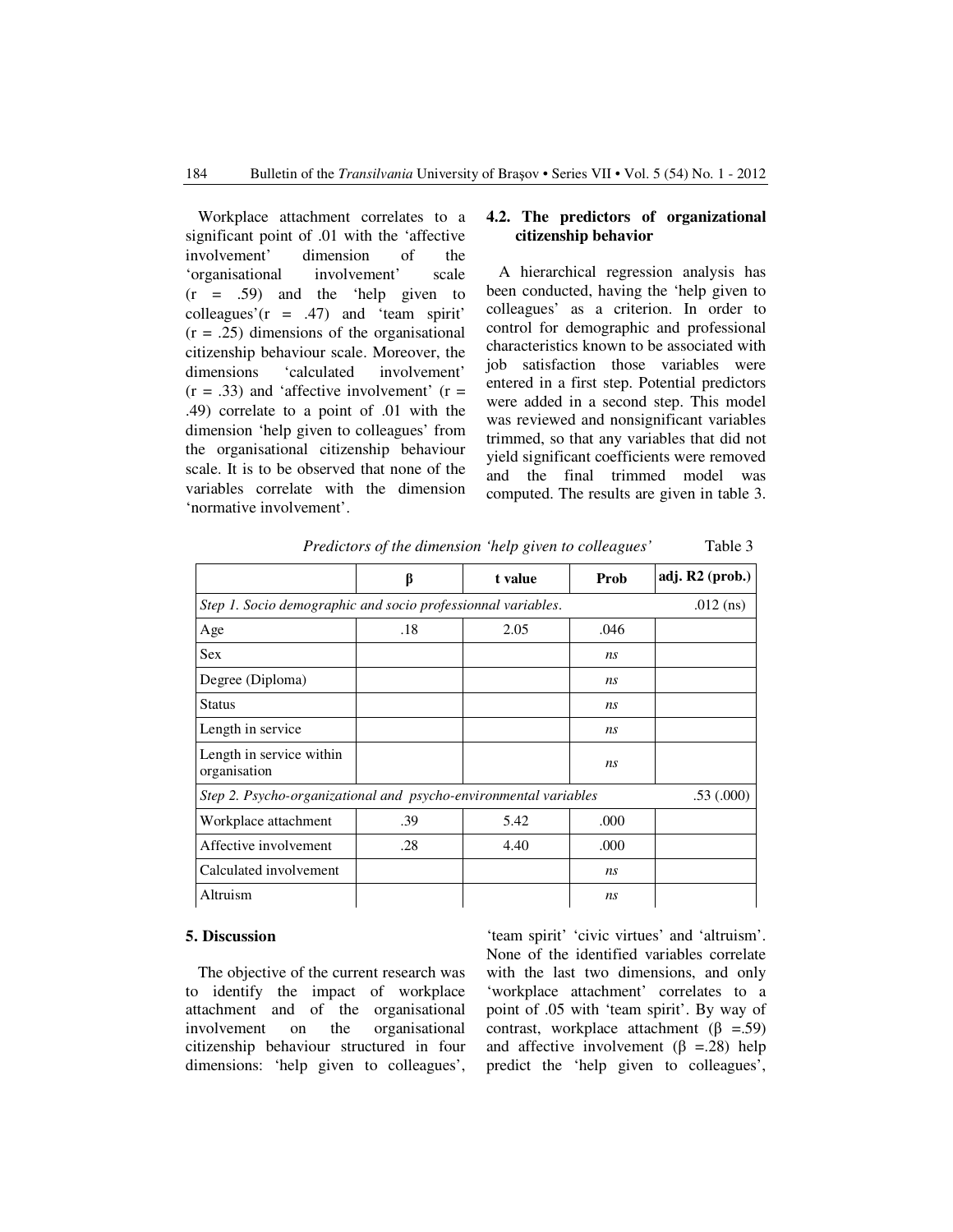Workplace attachment correlates to a significant point of .01 with the 'affective involvement' dimension of the 'organisational involvement' scale (r = .59) and the 'help given to colleagues'( $r = .47$ ) and 'team spirit'  $(r = .25)$  dimensions of the organisational citizenship behaviour scale. Moreover, the dimensions 'calculated involvement'  $(r = .33)$  and 'affective involvement'  $(r = .33)$ .49) correlate to a point of .01 with the dimension 'help given to colleagues' from the organisational citizenship behaviour scale. It is to be observed that none of the variables correlate with the dimension 'normative involvement'.

### **4.2. The predictors of organizational citizenship behavior**

A hierarchical regression analysis has been conducted, having the 'help given to colleagues' as a criterion. In order to control for demographic and professional characteristics known to be associated with job satisfaction those variables were entered in a first step. Potential predictors were added in a second step. This model was reviewed and nonsignificant variables trimmed, so that any variables that did not yield significant coefficients were removed and the final trimmed model was computed. The results are given in table 3.

|                                                                               | β           | t value | Prob | adj. R2 (prob.) |  |  |
|-------------------------------------------------------------------------------|-------------|---------|------|-----------------|--|--|
| Step 1. Socio demographic and socio professionnal variables.                  | .012 $(ns)$ |         |      |                 |  |  |
| Age                                                                           | .18         | 2.05    | .046 |                 |  |  |
| <b>Sex</b>                                                                    |             |         | ns   |                 |  |  |
| Degree (Diploma)                                                              |             |         | ns   |                 |  |  |
| <b>Status</b>                                                                 |             |         | ns   |                 |  |  |
| Length in service                                                             |             |         | ns   |                 |  |  |
| Length in service within<br>organisation                                      |             |         | ns   |                 |  |  |
| Step 2. Psycho-organizational and psycho-environmental variables<br>.53(.000) |             |         |      |                 |  |  |
| Workplace attachment                                                          | .39         | 5.42    | .000 |                 |  |  |
| Affective involvement                                                         | .28         | 4.40    | .000 |                 |  |  |
| Calculated involvement                                                        |             |         | ns   |                 |  |  |
| Altruism                                                                      |             |         | ns   |                 |  |  |

*Predictors of the dimension 'help given to colleagues'* Table 3

#### **5. Discussion**

The objective of the current research was to identify the impact of workplace attachment and of the organisational involvement on the organisational citizenship behaviour structured in four dimensions: 'help given to colleagues', 'team spirit' 'civic virtues' and 'altruism'. None of the identified variables correlate with the last two dimensions, and only 'workplace attachment' correlates to a point of .05 with 'team spirit'. By way of contrast, workplace attachment  $(\beta = .59)$ and affective involvement ( $\beta$  =.28) help predict the 'help given to colleagues',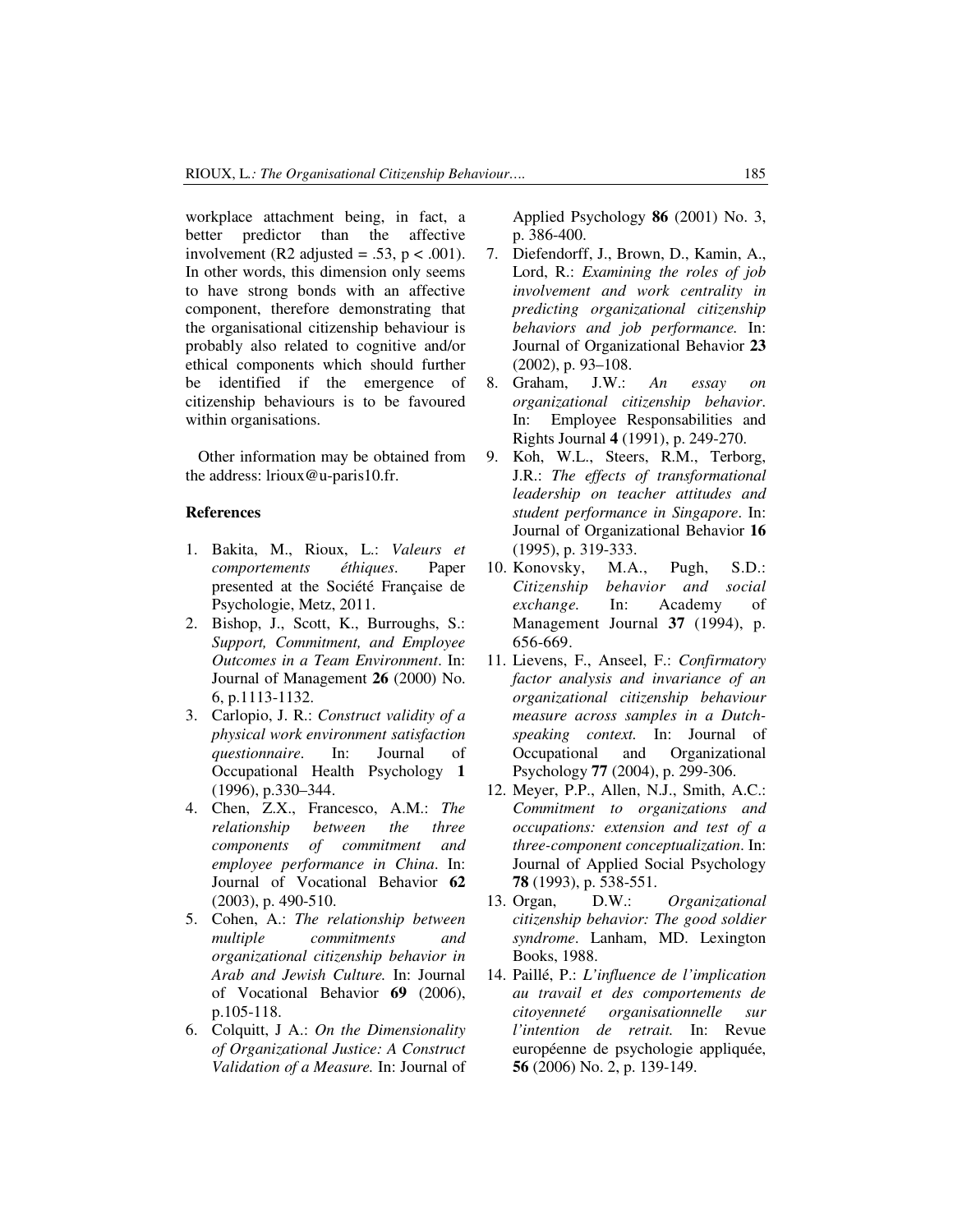workplace attachment being, in fact, a better predictor than the affective involvement (R2 adjusted = .53,  $p < .001$ ). In other words, this dimension only seems to have strong bonds with an affective component, therefore demonstrating that the organisational citizenship behaviour is probably also related to cognitive and/or ethical components which should further be identified if the emergence of citizenship behaviours is to be favoured within organisations.

Other information may be obtained from the address: lrioux@u-paris10.fr.

#### **References**

- 1. Bakita, M., Rioux, L.: *Valeurs et comportements éthiques*. Paper presented at the Société Française de Psychologie, Metz, 2011.
- 2. Bishop, J., Scott, K., Burroughs, S.: *Support, Commitment, and Employee Outcomes in a Team Environment*. In: Journal of Management **26** (2000) No. 6, p.1113-1132.
- 3. Carlopio, J. R.: *Construct validity of a physical work environment satisfaction questionnaire*. In: Journal of Occupational Health Psychology **1** (1996), p.330–344.
- 4. Chen, Z.X., Francesco, A.M.: *The relationship between the three components of commitment and employee performance in China*. In: Journal of Vocational Behavior **62** (2003), p. 490-510.
- 5. Cohen, A.: *The relationship between multiple commitments and organizational citizenship behavior in Arab and Jewish Culture.* In: Journal of Vocational Behavior **69** (2006), p.105-118.
- 6. Colquitt, J A.: *On the Dimensionality of Organizational Justice: A Construct Validation of a Measure.* In: Journal of

Applied Psychology **86** (2001) No. 3, p. 386-400.

- 7. Diefendorff, J., Brown, D., Kamin, A., Lord, R.: *Examining the roles of job involvement and work centrality in predicting organizational citizenship behaviors and job performance.* In: Journal of Organizational Behavior **23** (2002), p. 93–108.
- 8. Graham, J.W.: *An essay on organizational citizenship behavior*. In: Employee Responsabilities and Rights Journal **4** (1991), p. 249-270.
- 9. Koh, W.L., Steers, R.M., Terborg, J.R.: *The effects of transformational leadership on teacher attitudes and student performance in Singapore*. In: Journal of Organizational Behavior **16** (1995), p. 319-333.
- 10. Konovsky, M.A., Pugh, S.D.: *Citizenship behavior and social exchange.* In: Academy of Management Journal **37** (1994), p. 656-669.
- 11. Lievens, F., Anseel, F.: *Confirmatory factor analysis and invariance of an organizational citizenship behaviour measure across samples in a Dutchspeaking context.* In: Journal of Occupational and Organizational Psychology **77** (2004), p. 299-306.
- 12. Meyer, P.P., Allen, N.J., Smith, A.C.: *Commitment to organizations and occupations: extension and test of a three-component conceptualization*. In: Journal of Applied Social Psychology **78** (1993), p. 538-551.
- 13. Organ, D.W.: *Organizational citizenship behavior: The good soldier syndrome*. Lanham, MD. Lexington Books, 1988.
- 14. Paillé, P.: *L'influence de l'implication au travail et des comportements de citoyenneté organisationnelle sur l'intention de retrait.* In: Revue européenne de psychologie appliquée, **56** (2006) No. 2, p. 139-149.